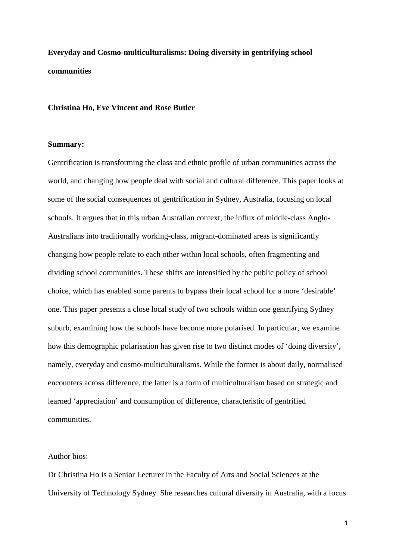**Everyday and Cosmo-multiculturalisms: Doing diversity in gentrifying school communities**

# **Christina Ho, Eve Vincent and Rose Butler**

#### **Summary:**

Gentrification is transforming the class and ethnic profile of urban communities across the world, and changing how people deal with social and cultural difference. This paper looks at some of the social consequences of gentrification in Sydney, Australia, focusing on local schools. It argues that in this urban Australian context, the influx of middle-class Anglo-Australians into traditionally working-class, migrant-dominated areas is significantly changing how people relate to each other within local schools, often fragmenting and dividing school communities. These shifts are intensified by the public policy of school choice, which has enabled some parents to bypass their local school for a more 'desirable' one. This paper presents a close local study of two schools within one gentrifying Sydney suburb, examining how the schools have become more polarised. In particular, we examine how this demographic polarisation has given rise to two distinct modes of 'doing diversity', namely, everyday and cosmo-multiculturalisms. While the former is about daily, normalised encounters across difference, the latter is a form of multiculturalism based on strategic and learned 'appreciation' and consumption of difference, characteristic of gentrified communities.

# Author bios:

Dr Christina Ho is a Senior Lecturer in the Faculty of Arts and Social Sciences at the University of Technology Sydney. She researches cultural diversity in Australia, with a focus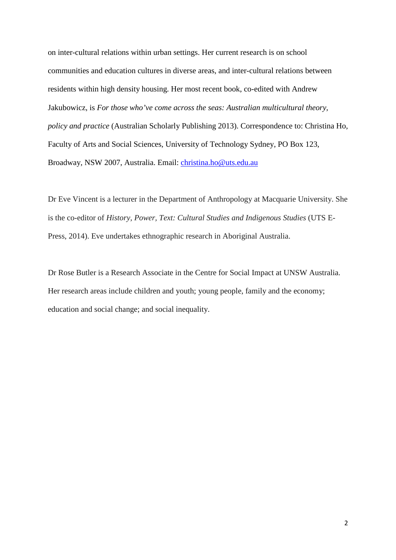on inter-cultural relations within urban settings. Her current research is on school communities and education cultures in diverse areas, and inter-cultural relations between residents within high density housing. Her most recent book, co-edited with Andrew Jakubowicz, is *For those who've come across the seas: Australian multicultural theory, policy and practice* (Australian Scholarly Publishing 2013). Correspondence to: Christina Ho, Faculty of Arts and Social Sciences, University of Technology Sydney, PO Box 123, Broadway, NSW 2007, Australia. Email: [christina.ho@uts.edu.au](mailto:christina.ho@uts.edu.au)

Dr Eve Vincent is a lecturer in the Department of Anthropology at Macquarie University. She is the co-editor of *History, Power, Text: Cultural Studies and Indigenous Studies* (UTS E-Press, 2014). Eve undertakes ethnographic research in Aboriginal Australia.

Dr Rose Butler is a Research Associate in the Centre for Social Impact at UNSW Australia. Her research areas include children and youth; young people, family and the economy; education and social change; and social inequality.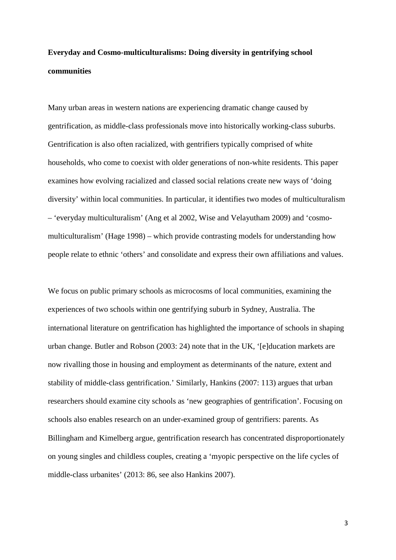# **Everyday and Cosmo-multiculturalisms: Doing diversity in gentrifying school communities**

Many urban areas in western nations are experiencing dramatic change caused by gentrification, as middle-class professionals move into historically working-class suburbs. Gentrification is also often racialized, with gentrifiers typically comprised of white households, who come to coexist with older generations of non-white residents. This paper examines how evolving racialized and classed social relations create new ways of 'doing diversity' within local communities. In particular, it identifies two modes of multiculturalism – 'everyday multiculturalism' (Ang et al 2002, Wise and Velayutham 2009) and 'cosmomulticulturalism' (Hage 1998) – which provide contrasting models for understanding how people relate to ethnic 'others' and consolidate and express their own affiliations and values.

We focus on public primary schools as microcosms of local communities, examining the experiences of two schools within one gentrifying suburb in Sydney, Australia. The international literature on gentrification has highlighted the importance of schools in shaping urban change. Butler and Robson (2003: 24) note that in the UK, '[e]ducation markets are now rivalling those in housing and employment as determinants of the nature, extent and stability of middle-class gentrification.' Similarly, Hankins (2007: 113) argues that urban researchers should examine city schools as 'new geographies of gentrification'. Focusing on schools also enables research on an under-examined group of gentrifiers: parents. As Billingham and Kimelberg argue, gentrification research has concentrated disproportionately on young singles and childless couples, creating a 'myopic perspective on the life cycles of middle-class urbanites' (2013: 86, see also Hankins 2007).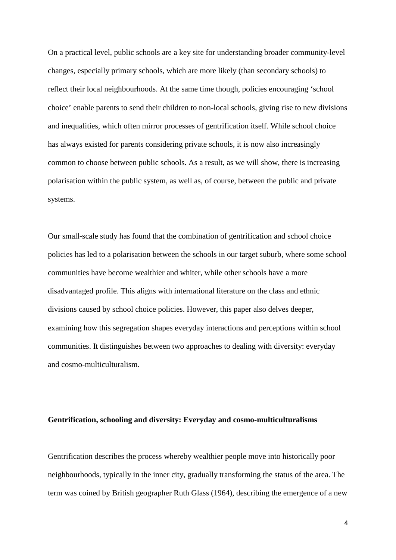On a practical level, public schools are a key site for understanding broader community-level changes, especially primary schools, which are more likely (than secondary schools) to reflect their local neighbourhoods. At the same time though, policies encouraging 'school choice' enable parents to send their children to non-local schools, giving rise to new divisions and inequalities, which often mirror processes of gentrification itself. While school choice has always existed for parents considering private schools, it is now also increasingly common to choose between public schools. As a result, as we will show, there is increasing polarisation within the public system, as well as, of course, between the public and private systems.

Our small-scale study has found that the combination of gentrification and school choice policies has led to a polarisation between the schools in our target suburb, where some school communities have become wealthier and whiter, while other schools have a more disadvantaged profile. This aligns with international literature on the class and ethnic divisions caused by school choice policies. However, this paper also delves deeper, examining how this segregation shapes everyday interactions and perceptions within school communities. It distinguishes between two approaches to dealing with diversity: everyday and cosmo-multiculturalism.

### **Gentrification, schooling and diversity: Everyday and cosmo-multiculturalisms**

Gentrification describes the process whereby wealthier people move into historically poor neighbourhoods, typically in the inner city, gradually transforming the status of the area. The term was coined by British geographer Ruth Glass (1964), describing the emergence of a new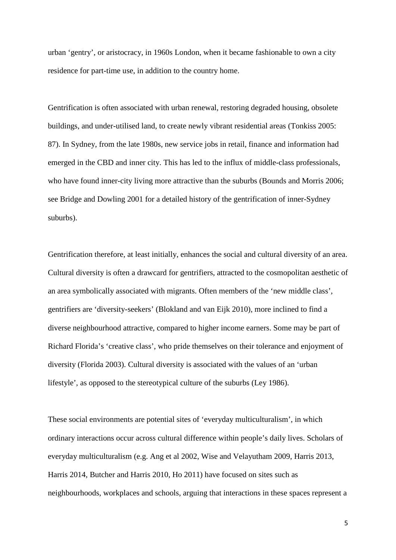urban 'gentry', or aristocracy, in 1960s London, when it became fashionable to own a city residence for part-time use, in addition to the country home.

Gentrification is often associated with urban renewal, restoring degraded housing, obsolete buildings, and under-utilised land, to create newly vibrant residential areas (Tonkiss 2005: 87). In Sydney, from the late 1980s, new service jobs in retail, finance and information had emerged in the CBD and inner city. This has led to the influx of middle-class professionals, who have found inner-city living more attractive than the suburbs (Bounds and Morris 2006; see Bridge and Dowling 2001 for a detailed history of the gentrification of inner-Sydney suburbs).

Gentrification therefore, at least initially, enhances the social and cultural diversity of an area. Cultural diversity is often a drawcard for gentrifiers, attracted to the cosmopolitan aesthetic of an area symbolically associated with migrants. Often members of the 'new middle class', gentrifiers are 'diversity-seekers' (Blokland and van Eijk 2010), more inclined to find a diverse neighbourhood attractive, compared to higher income earners. Some may be part of Richard Florida's 'creative class', who pride themselves on their tolerance and enjoyment of diversity (Florida 2003). Cultural diversity is associated with the values of an 'urban lifestyle', as opposed to the stereotypical culture of the suburbs (Ley 1986).

These social environments are potential sites of 'everyday multiculturalism', in which ordinary interactions occur across cultural difference within people's daily lives. Scholars of everyday multiculturalism (e.g. Ang et al 2002, Wise and Velayutham 2009, Harris 2013, Harris 2014, Butcher and Harris 2010, Ho 2011) have focused on sites such as neighbourhoods, workplaces and schools, arguing that interactions in these spaces represent a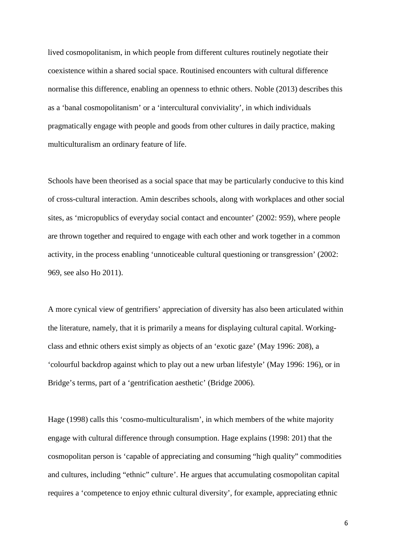lived cosmopolitanism, in which people from different cultures routinely negotiate their coexistence within a shared social space. Routinised encounters with cultural difference normalise this difference, enabling an openness to ethnic others. Noble (2013) describes this as a 'banal cosmopolitanism' or a 'intercultural conviviality', in which individuals pragmatically engage with people and goods from other cultures in daily practice, making multiculturalism an ordinary feature of life.

Schools have been theorised as a social space that may be particularly conducive to this kind of cross-cultural interaction. Amin describes schools, along with workplaces and other social sites, as 'micropublics of everyday social contact and encounter' (2002: 959), where people are thrown together and required to engage with each other and work together in a common activity, in the process enabling 'unnoticeable cultural questioning or transgression' (2002: 969, see also Ho 2011).

A more cynical view of gentrifiers' appreciation of diversity has also been articulated within the literature, namely, that it is primarily a means for displaying cultural capital. Workingclass and ethnic others exist simply as objects of an 'exotic gaze' (May 1996: 208), a 'colourful backdrop against which to play out a new urban lifestyle' (May 1996: 196), or in Bridge's terms, part of a 'gentrification aesthetic' (Bridge 2006).

Hage (1998) calls this 'cosmo-multiculturalism', in which members of the white majority engage with cultural difference through consumption. Hage explains (1998: 201) that the cosmopolitan person is 'capable of appreciating and consuming "high quality" commodities and cultures, including "ethnic" culture'. He argues that accumulating cosmopolitan capital requires a 'competence to enjoy ethnic cultural diversity', for example, appreciating ethnic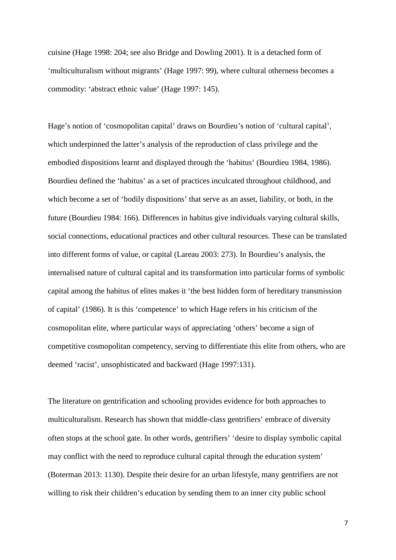cuisine (Hage 1998: 204; see also Bridge and Dowling 2001). It is a detached form of 'multiculturalism without migrants' (Hage 1997: 99), where cultural otherness becomes a commodity: 'abstract ethnic value' (Hage 1997: 145).

Hage's notion of 'cosmopolitan capital' draws on Bourdieu's notion of 'cultural capital', which underpinned the latter's analysis of the reproduction of class privilege and the embodied dispositions learnt and displayed through the 'habitus' (Bourdieu 1984, 1986). Bourdieu defined the 'habitus' as a set of practices inculcated throughout childhood, and which become a set of 'bodily dispositions' that serve as an asset, liability, or both, in the future (Bourdieu 1984: 166). Differences in habitus give individuals varying cultural skills, social connections, educational practices and other cultural resources. These can be translated into different forms of value, or capital (Lareau 2003: 273). In Bourdieu's analysis, the internalised nature of cultural capital and its transformation into particular forms of symbolic capital among the habitus of elites makes it 'the best hidden form of hereditary transmission of capital' (1986). It is this 'competence' to which Hage refers in his criticism of the cosmopolitan elite, where particular ways of appreciating 'others' become a sign of competitive cosmopolitan competency, serving to differentiate this elite from others, who are deemed 'racist', unsophisticated and backward (Hage 1997:131).

The literature on gentrification and schooling provides evidence for both approaches to multiculturalism. Research has shown that middle-class gentrifiers' embrace of diversity often stops at the school gate. In other words, gentrifiers' 'desire to display symbolic capital may conflict with the need to reproduce cultural capital through the education system' (Boterman 2013: 1130). Despite their desire for an urban lifestyle, many gentrifiers are not willing to risk their children's education by sending them to an inner city public school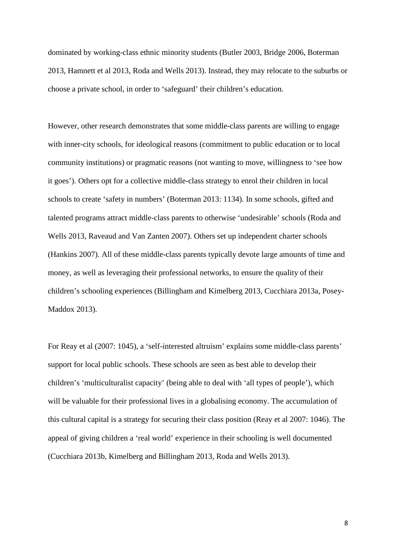dominated by working-class ethnic minority students (Butler 2003, Bridge 2006, Boterman 2013, Hamnett et al 2013, Roda and Wells 2013). Instead, they may relocate to the suburbs or choose a private school, in order to 'safeguard' their children's education.

However, other research demonstrates that some middle-class parents are willing to engage with inner-city schools, for ideological reasons (commitment to public education or to local community institutions) or pragmatic reasons (not wanting to move, willingness to 'see how it goes'). Others opt for a collective middle-class strategy to enrol their children in local schools to create 'safety in numbers' (Boterman 2013: 1134). In some schools, gifted and talented programs attract middle-class parents to otherwise 'undesirable' schools (Roda and Wells 2013, Raveaud and Van Zanten 2007). Others set up independent charter schools (Hankins 2007). All of these middle-class parents typically devote large amounts of time and money, as well as leveraging their professional networks, to ensure the quality of their children's schooling experiences (Billingham and Kimelberg 2013, Cucchiara 2013a, Posey-Maddox 2013).

For Reay et al (2007: 1045), a 'self-interested altruism' explains some middle-class parents' support for local public schools. These schools are seen as best able to develop their children's 'multiculturalist capacity' (being able to deal with 'all types of people'), which will be valuable for their professional lives in a globalising economy. The accumulation of this cultural capital is a strategy for securing their class position (Reay et al 2007: 1046). The appeal of giving children a 'real world' experience in their schooling is well documented (Cucchiara 2013b, Kimelberg and Billingham 2013, Roda and Wells 2013).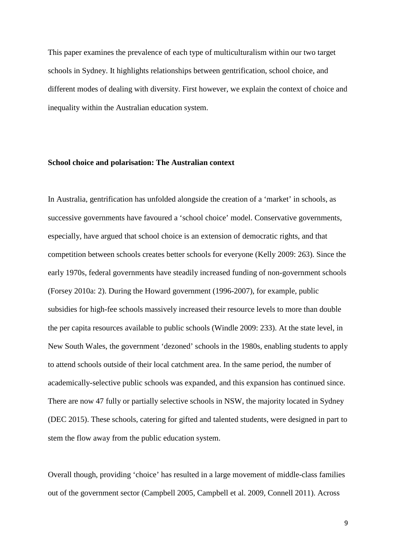This paper examines the prevalence of each type of multiculturalism within our two target schools in Sydney. It highlights relationships between gentrification, school choice, and different modes of dealing with diversity. First however, we explain the context of choice and inequality within the Australian education system.

## **School choice and polarisation: The Australian context**

In Australia, gentrification has unfolded alongside the creation of a 'market' in schools, as successive governments have favoured a 'school choice' model. Conservative governments, especially, have argued that school choice is an extension of democratic rights, and that competition between schools creates better schools for everyone (Kelly 2009: 263). Since the early 1970s, federal governments have steadily increased funding of non-government schools (Forsey 2010a: 2). During the Howard government (1996-2007), for example, public subsidies for high-fee schools massively increased their resource levels to more than double the per capita resources available to public schools (Windle 2009: 233). At the state level, in New South Wales, the government 'dezoned' schools in the 1980s, enabling students to apply to attend schools outside of their local catchment area. In the same period, the number of academically-selective public schools was expanded, and this expansion has continued since. There are now 47 fully or partially selective schools in NSW, the majority located in Sydney (DEC 2015). These schools, catering for gifted and talented students, were designed in part to stem the flow away from the public education system.

Overall though, providing 'choice' has resulted in a large movement of middle-class families out of the government sector (Campbell 2005, Campbell et al. 2009, Connell 2011). Across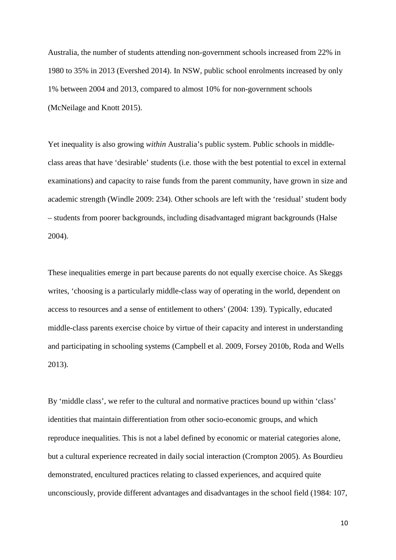Australia, the number of students attending non-government schools increased from 22% in 1980 to 35% in 2013 (Evershed 2014). In NSW, public school enrolments increased by only 1% between 2004 and 2013, compared to almost 10% for non-government schools (McNeilage and Knott 2015).

Yet inequality is also growing *within* Australia's public system. Public schools in middleclass areas that have 'desirable' students (i.e. those with the best potential to excel in external examinations) and capacity to raise funds from the parent community, have grown in size and academic strength (Windle 2009: 234). Other schools are left with the 'residual' student body – students from poorer backgrounds, including disadvantaged migrant backgrounds (Halse 2004).

These inequalities emerge in part because parents do not equally exercise choice. As Skeggs writes, 'choosing is a particularly middle-class way of operating in the world, dependent on access to resources and a sense of entitlement to others' (2004: 139). Typically, educated middle-class parents exercise choice by virtue of their capacity and interest in understanding and participating in schooling systems (Campbell et al. 2009, Forsey 2010b, Roda and Wells 2013).

By 'middle class', we refer to the cultural and normative practices bound up within 'class' identities that maintain differentiation from other socio-economic groups, and which reproduce inequalities. This is not a label defined by economic or material categories alone, but a cultural experience recreated in daily social interaction (Crompton 2005). As Bourdieu demonstrated, encultured practices relating to classed experiences, and acquired quite unconsciously, provide different advantages and disadvantages in the school field (1984: 107,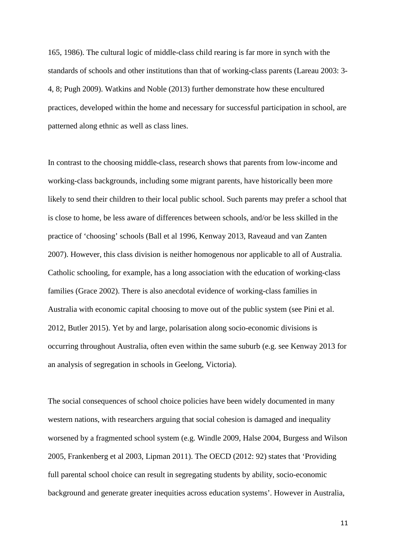165, 1986). The cultural logic of middle-class child rearing is far more in synch with the standards of schools and other institutions than that of working-class parents (Lareau 2003: 3- 4, 8; Pugh 2009). Watkins and Noble (2013) further demonstrate how these encultured practices, developed within the home and necessary for successful participation in school, are patterned along ethnic as well as class lines.

In contrast to the choosing middle-class, research shows that parents from low-income and working-class backgrounds, including some migrant parents, have historically been more likely to send their children to their local public school. Such parents may prefer a school that is close to home, be less aware of differences between schools, and/or be less skilled in the practice of 'choosing' schools (Ball et al 1996, Kenway 2013, Raveaud and van Zanten 2007). However, this class division is neither homogenous nor applicable to all of Australia. Catholic schooling, for example, has a long association with the education of working-class families (Grace 2002). There is also anecdotal evidence of working-class families in Australia with economic capital choosing to move out of the public system (see Pini et al. 2012, Butler 2015). Yet by and large, polarisation along socio-economic divisions is occurring throughout Australia, often even within the same suburb (e.g. see Kenway 2013 for an analysis of segregation in schools in Geelong, Victoria).

The social consequences of school choice policies have been widely documented in many western nations, with researchers arguing that social cohesion is damaged and inequality worsened by a fragmented school system (e.g. Windle 2009, Halse 2004, Burgess and Wilson 2005, Frankenberg et al 2003, Lipman 2011). The OECD (2012: 92) states that 'Providing full parental school choice can result in segregating students by ability, socio-economic background and generate greater inequities across education systems'. However in Australia,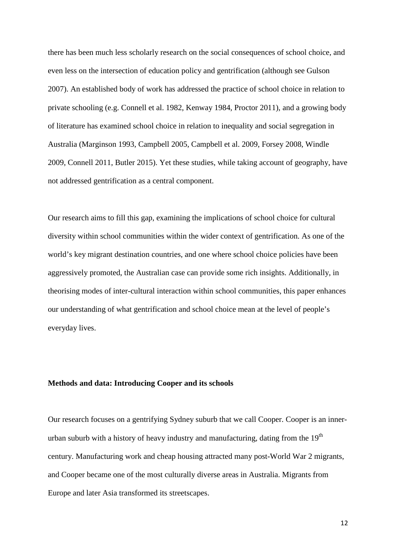there has been much less scholarly research on the social consequences of school choice, and even less on the intersection of education policy and gentrification (although see Gulson 2007). An established body of work has addressed the practice of school choice in relation to private schooling (e.g. Connell et al. 1982, Kenway 1984, Proctor 2011), and a growing body of literature has examined school choice in relation to inequality and social segregation in Australia (Marginson 1993, Campbell 2005, Campbell et al. 2009, Forsey 2008, Windle 2009, Connell 2011, Butler 2015). Yet these studies, while taking account of geography, have not addressed gentrification as a central component.

Our research aims to fill this gap, examining the implications of school choice for cultural diversity within school communities within the wider context of gentrification. As one of the world's key migrant destination countries, and one where school choice policies have been aggressively promoted, the Australian case can provide some rich insights. Additionally, in theorising modes of inter-cultural interaction within school communities, this paper enhances our understanding of what gentrification and school choice mean at the level of people's everyday lives.

### **Methods and data: Introducing Cooper and its schools**

Our research focuses on a gentrifying Sydney suburb that we call Cooper. Cooper is an innerurban suburb with a history of heavy industry and manufacturing, dating from the  $19<sup>th</sup>$ century. Manufacturing work and cheap housing attracted many post-World War 2 migrants, and Cooper became one of the most culturally diverse areas in Australia. Migrants from Europe and later Asia transformed its streetscapes.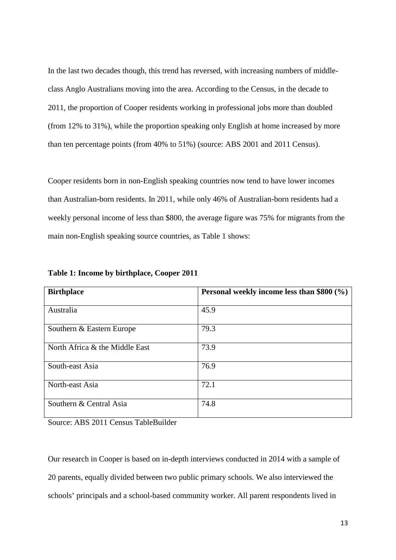In the last two decades though, this trend has reversed, with increasing numbers of middleclass Anglo Australians moving into the area. According to the Census, in the decade to 2011, the proportion of Cooper residents working in professional jobs more than doubled (from 12% to 31%), while the proportion speaking only English at home increased by more than ten percentage points (from 40% to 51%) (source: ABS 2001 and 2011 Census).

Cooper residents born in non-English speaking countries now tend to have lower incomes than Australian-born residents. In 2011, while only 46% of Australian-born residents had a weekly personal income of less than \$800, the average figure was 75% for migrants from the main non-English speaking source countries, as Table 1 shows:

| <b>Birthplace</b>              | Personal weekly income less than \$800 (%) |
|--------------------------------|--------------------------------------------|
| Australia                      | 45.9                                       |
| Southern & Eastern Europe      | 79.3                                       |
| North Africa & the Middle East | 73.9                                       |
| South-east Asia                | 76.9                                       |
| North-east Asia                | 72.1                                       |
| Southern & Central Asia        | 74.8                                       |

**Table 1: Income by birthplace, Cooper 2011**

Source: ABS 2011 Census TableBuilder

Our research in Cooper is based on in-depth interviews conducted in 2014 with a sample of 20 parents, equally divided between two public primary schools. We also interviewed the schools' principals and a school-based community worker. All parent respondents lived in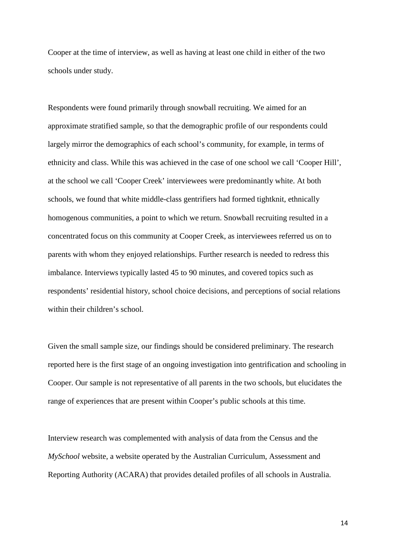Cooper at the time of interview, as well as having at least one child in either of the two schools under study.

Respondents were found primarily through snowball recruiting. We aimed for an approximate stratified sample, so that the demographic profile of our respondents could largely mirror the demographics of each school's community, for example, in terms of ethnicity and class. While this was achieved in the case of one school we call 'Cooper Hill', at the school we call 'Cooper Creek' interviewees were predominantly white. At both schools, we found that white middle-class gentrifiers had formed tightknit, ethnically homogenous communities, a point to which we return. Snowball recruiting resulted in a concentrated focus on this community at Cooper Creek, as interviewees referred us on to parents with whom they enjoyed relationships. Further research is needed to redress this imbalance. Interviews typically lasted 45 to 90 minutes, and covered topics such as respondents' residential history, school choice decisions, and perceptions of social relations within their children's school.

Given the small sample size, our findings should be considered preliminary. The research reported here is the first stage of an ongoing investigation into gentrification and schooling in Cooper. Our sample is not representative of all parents in the two schools, but elucidates the range of experiences that are present within Cooper's public schools at this time.

Interview research was complemented with analysis of data from the Census and the *MySchool* website, a website operated by the Australian Curriculum, Assessment and Reporting Authority (ACARA) that provides detailed profiles of all schools in Australia.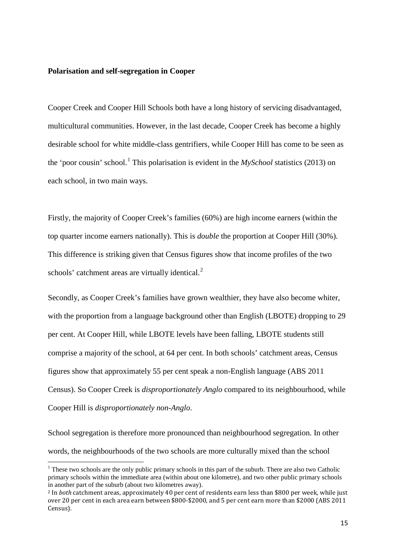### **Polarisation and self-segregation in Cooper**

Cooper Creek and Cooper Hill Schools both have a long history of servicing disadvantaged, multicultural communities. However, in the last decade, Cooper Creek has become a highly desirable school for white middle-class gentrifiers, while Cooper Hill has come to be seen as the 'poor cousin' school.[1](#page-14-0) This polarisation is evident in the *MySchool* statistics (2013) on each school, in two main ways.

Firstly, the majority of Cooper Creek's families (60%) are high income earners (within the top quarter income earners nationally). This is *double* the proportion at Cooper Hill (30%). This difference is striking given that Census figures show that income profiles of the two schools' catchment areas are virtually identical.<sup>[2](#page-14-1)</sup>

Secondly, as Cooper Creek's families have grown wealthier, they have also become whiter, with the proportion from a language background other than English (LBOTE) dropping to 29 per cent. At Cooper Hill, while LBOTE levels have been falling, LBOTE students still comprise a majority of the school, at 64 per cent. In both schools' catchment areas, Census figures show that approximately 55 per cent speak a non-English language (ABS 2011 Census). So Cooper Creek is *disproportionately Anglo* compared to its neighbourhood, while Cooper Hill is *disproportionately non-Anglo*.

School segregation is therefore more pronounced than neighbourhood segregation. In other words, the neighbourhoods of the two schools are more culturally mixed than the school

<span id="page-14-0"></span><sup>&</sup>lt;sup>1</sup> These two schools are the only public primary schools in this part of the suburb. There are also two Catholic primary schools within the immediate area (within about one kilometre), and two other public primary schools in another part of the suburb (about two kilometres away).

<span id="page-14-1"></span><sup>2</sup> In *both* catchment areas, approximately 40 per cent of residents earn less than \$800 per week, while just over 20 per cent in each area earn between \$800-\$2000, and 5 per cent earn more than \$2000 (ABS 2011 Census).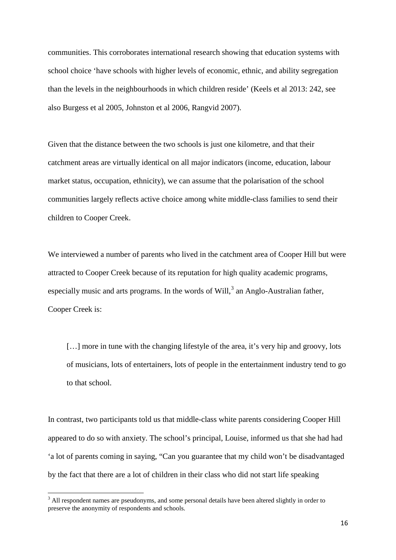communities. This corroborates international research showing that education systems with school choice 'have schools with higher levels of economic, ethnic, and ability segregation than the levels in the neighbourhoods in which children reside' (Keels et al 2013: 242, see also Burgess et al 2005, Johnston et al 2006, Rangvid 2007).

Given that the distance between the two schools is just one kilometre, and that their catchment areas are virtually identical on all major indicators (income, education, labour market status, occupation, ethnicity), we can assume that the polarisation of the school communities largely reflects active choice among white middle-class families to send their children to Cooper Creek.

We interviewed a number of parents who lived in the catchment area of Cooper Hill but were attracted to Cooper Creek because of its reputation for high quality academic programs, especially music and arts programs. In the words of Will, $3$  an Anglo-Australian father, Cooper Creek is:

[...] more in tune with the changing lifestyle of the area, it's very hip and groovy, lots of musicians, lots of entertainers, lots of people in the entertainment industry tend to go to that school.

In contrast, two participants told us that middle-class white parents considering Cooper Hill appeared to do so with anxiety. The school's principal, Louise, informed us that she had had 'a lot of parents coming in saying, "Can you guarantee that my child won't be disadvantaged by the fact that there are a lot of children in their class who did not start life speaking

<span id="page-15-0"></span> $3$  All respondent names are pseudonyms, and some personal details have been altered slightly in order to preserve the anonymity of respondents and schools.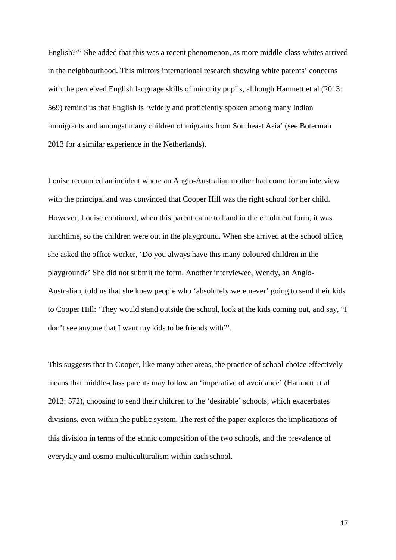English?"' She added that this was a recent phenomenon, as more middle-class whites arrived in the neighbourhood. This mirrors international research showing white parents' concerns with the perceived English language skills of minority pupils, although Hamnett et al (2013: 569) remind us that English is 'widely and proficiently spoken among many Indian immigrants and amongst many children of migrants from Southeast Asia' (see Boterman 2013 for a similar experience in the Netherlands).

Louise recounted an incident where an Anglo-Australian mother had come for an interview with the principal and was convinced that Cooper Hill was the right school for her child. However, Louise continued, when this parent came to hand in the enrolment form, it was lunchtime, so the children were out in the playground. When she arrived at the school office, she asked the office worker, 'Do you always have this many coloured children in the playground?' She did not submit the form. Another interviewee, Wendy, an Anglo-Australian, told us that she knew people who 'absolutely were never' going to send their kids to Cooper Hill: 'They would stand outside the school, look at the kids coming out, and say, "I don't see anyone that I want my kids to be friends with"'.

This suggests that in Cooper, like many other areas, the practice of school choice effectively means that middle-class parents may follow an 'imperative of avoidance' (Hamnett et al 2013: 572), choosing to send their children to the 'desirable' schools, which exacerbates divisions, even within the public system. The rest of the paper explores the implications of this division in terms of the ethnic composition of the two schools, and the prevalence of everyday and cosmo-multiculturalism within each school.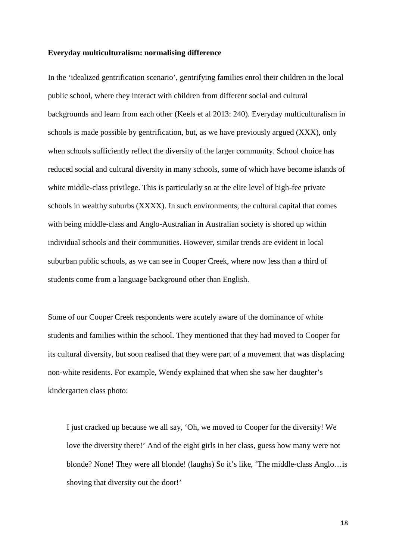#### **Everyday multiculturalism: normalising difference**

In the 'idealized gentrification scenario', gentrifying families enrol their children in the local public school, where they interact with children from different social and cultural backgrounds and learn from each other (Keels et al 2013: 240). Everyday multiculturalism in schools is made possible by gentrification, but, as we have previously argued (XXX), only when schools sufficiently reflect the diversity of the larger community. School choice has reduced social and cultural diversity in many schools, some of which have become islands of white middle-class privilege. This is particularly so at the elite level of high-fee private schools in wealthy suburbs (XXXX). In such environments, the cultural capital that comes with being middle-class and Anglo-Australian in Australian society is shored up within individual schools and their communities. However, similar trends are evident in local suburban public schools, as we can see in Cooper Creek, where now less than a third of students come from a language background other than English.

Some of our Cooper Creek respondents were acutely aware of the dominance of white students and families within the school. They mentioned that they had moved to Cooper for its cultural diversity, but soon realised that they were part of a movement that was displacing non-white residents. For example, Wendy explained that when she saw her daughter's kindergarten class photo:

I just cracked up because we all say, 'Oh, we moved to Cooper for the diversity! We love the diversity there!' And of the eight girls in her class, guess how many were not blonde? None! They were all blonde! (laughs) So it's like, 'The middle-class Anglo…is shoving that diversity out the door!'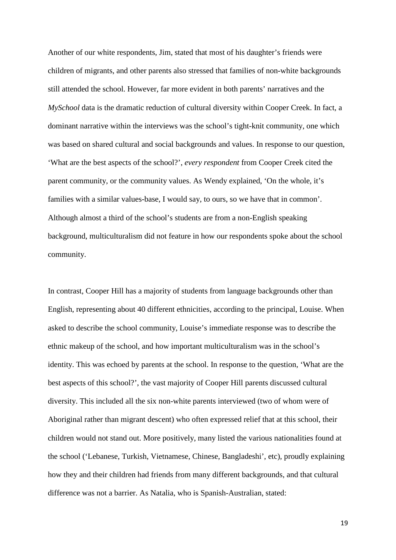Another of our white respondents, Jim, stated that most of his daughter's friends were children of migrants, and other parents also stressed that families of non-white backgrounds still attended the school. However, far more evident in both parents' narratives and the *MySchool* data is the dramatic reduction of cultural diversity within Cooper Creek. In fact, a dominant narrative within the interviews was the school's tight-knit community, one which was based on shared cultural and social backgrounds and values. In response to our question, 'What are the best aspects of the school?', *every respondent* from Cooper Creek cited the parent community, or the community values. As Wendy explained, 'On the whole, it's families with a similar values-base, I would say, to ours, so we have that in common'. Although almost a third of the school's students are from a non-English speaking background, multiculturalism did not feature in how our respondents spoke about the school community.

In contrast, Cooper Hill has a majority of students from language backgrounds other than English, representing about 40 different ethnicities, according to the principal, Louise. When asked to describe the school community, Louise's immediate response was to describe the ethnic makeup of the school, and how important multiculturalism was in the school's identity. This was echoed by parents at the school. In response to the question, 'What are the best aspects of this school?', the vast majority of Cooper Hill parents discussed cultural diversity. This included all the six non-white parents interviewed (two of whom were of Aboriginal rather than migrant descent) who often expressed relief that at this school, their children would not stand out. More positively, many listed the various nationalities found at the school ('Lebanese, Turkish, Vietnamese, Chinese, Bangladeshi', etc), proudly explaining how they and their children had friends from many different backgrounds, and that cultural difference was not a barrier. As Natalia, who is Spanish-Australian, stated: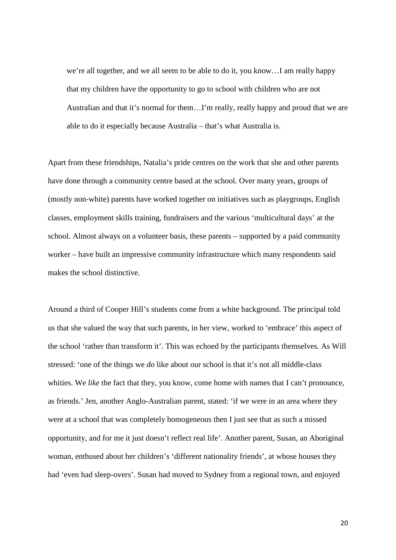we're all together, and we all seem to be able to do it, you know…I am really happy that my children have the opportunity to go to school with children who are not Australian and that it's normal for them…I'm really, really happy and proud that we are able to do it especially because Australia – that's what Australia is.

Apart from these friendships, Natalia's pride centres on the work that she and other parents have done through a community centre based at the school. Over many years, groups of (mostly non-white) parents have worked together on initiatives such as playgroups, English classes, employment skills training, fundraisers and the various 'multicultural days' at the school. Almost always on a volunteer basis, these parents – supported by a paid community worker – have built an impressive community infrastructure which many respondents said makes the school distinctive.

Around a third of Cooper Hill's students come from a white background. The principal told us that she valued the way that such parents, in her view, worked to 'embrace' this aspect of the school 'rather than transform it'. This was echoed by the participants themselves. As Will stressed: 'one of the things we *do* like about our school is that it's not all middle-class whities. We *like* the fact that they, you know, come home with names that I can't pronounce, as friends.' Jen, another Anglo-Australian parent, stated: 'if we were in an area where they were at a school that was completely homogeneous then I just see that as such a missed opportunity, and for me it just doesn't reflect real life'. Another parent, Susan, an Aboriginal woman, enthused about her children's 'different nationality friends', at whose houses they had 'even had sleep-overs'. Susan had moved to Sydney from a regional town, and enjoyed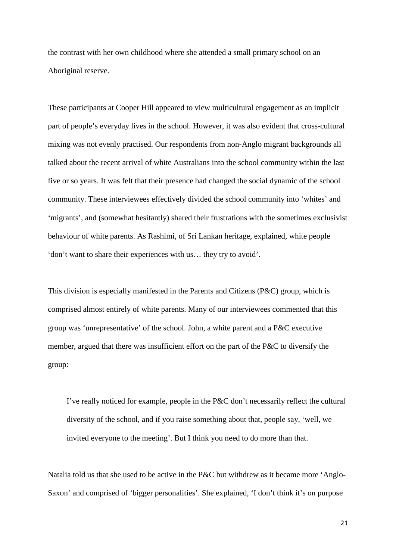the contrast with her own childhood where she attended a small primary school on an Aboriginal reserve.

These participants at Cooper Hill appeared to view multicultural engagement as an implicit part of people's everyday lives in the school. However, it was also evident that cross-cultural mixing was not evenly practised. Our respondents from non-Anglo migrant backgrounds all talked about the recent arrival of white Australians into the school community within the last five or so years. It was felt that their presence had changed the social dynamic of the school community. These interviewees effectively divided the school community into 'whites' and 'migrants', and (somewhat hesitantly) shared their frustrations with the sometimes exclusivist behaviour of white parents. As Rashimi, of Sri Lankan heritage, explained, white people 'don't want to share their experiences with us… they try to avoid'.

This division is especially manifested in the Parents and Citizens (P&C) group, which is comprised almost entirely of white parents. Many of our interviewees commented that this group was 'unrepresentative' of the school. John, a white parent and a P&C executive member, argued that there was insufficient effort on the part of the P&C to diversify the group:

I've really noticed for example, people in the P&C don't necessarily reflect the cultural diversity of the school, and if you raise something about that, people say, 'well, we invited everyone to the meeting'. But I think you need to do more than that.

Natalia told us that she used to be active in the P&C but withdrew as it became more 'Anglo-Saxon' and comprised of 'bigger personalities'. She explained, 'I don't think it's on purpose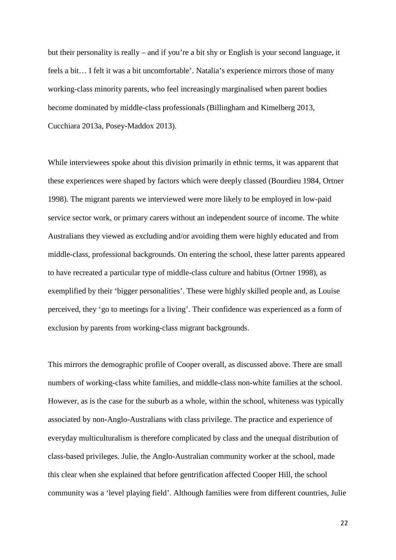but their personality is really – and if you're a bit shy or English is your second language, it feels a bit… I felt it was a bit uncomfortable'. Natalia's experience mirrors those of many working-class minority parents, who feel increasingly marginalised when parent bodies become dominated by middle-class professionals (Billingham and Kimelberg 2013, Cucchiara 2013a, Posey-Maddox 2013).

While interviewees spoke about this division primarily in ethnic terms, it was apparent that these experiences were shaped by factors which were deeply classed (Bourdieu 1984, Ortner 1998). The migrant parents we interviewed were more likely to be employed in low-paid service sector work, or primary carers without an independent source of income. The white Australians they viewed as excluding and/or avoiding them were highly educated and from middle-class, professional backgrounds. On entering the school, these latter parents appeared to have recreated a particular type of middle-class culture and habitus (Ortner 1998), as exemplified by their 'bigger personalities'. These were highly skilled people and, as Louise perceived, they 'go to meetings for a living'. Their confidence was experienced as a form of exclusion by parents from working-class migrant backgrounds.

This mirrors the demographic profile of Cooper overall, as discussed above. There are small numbers of working-class white families, and middle-class non-white families at the school. However, as is the case for the suburb as a whole, within the school, whiteness was typically associated by non-Anglo-Australians with class privilege. The practice and experience of everyday multiculturalism is therefore complicated by class and the unequal distribution of class-based privileges. Julie, the Anglo-Australian community worker at the school, made this clear when she explained that before gentrification affected Cooper Hill, the school community was a 'level playing field'. Although families were from different countries, Julie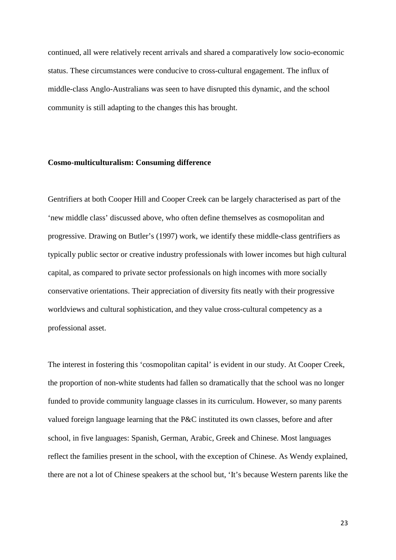continued, all were relatively recent arrivals and shared a comparatively low socio-economic status. These circumstances were conducive to cross-cultural engagement. The influx of middle-class Anglo-Australians was seen to have disrupted this dynamic, and the school community is still adapting to the changes this has brought.

#### **Cosmo-multiculturalism: Consuming difference**

Gentrifiers at both Cooper Hill and Cooper Creek can be largely characterised as part of the 'new middle class' discussed above, who often define themselves as cosmopolitan and progressive. Drawing on Butler's (1997) work, we identify these middle-class gentrifiers as typically public sector or creative industry professionals with lower incomes but high cultural capital, as compared to private sector professionals on high incomes with more socially conservative orientations. Their appreciation of diversity fits neatly with their progressive worldviews and cultural sophistication, and they value cross-cultural competency as a professional asset.

The interest in fostering this 'cosmopolitan capital' is evident in our study. At Cooper Creek, the proportion of non-white students had fallen so dramatically that the school was no longer funded to provide community language classes in its curriculum. However, so many parents valued foreign language learning that the P&C instituted its own classes, before and after school, in five languages: Spanish, German, Arabic, Greek and Chinese. Most languages reflect the families present in the school, with the exception of Chinese. As Wendy explained, there are not a lot of Chinese speakers at the school but, 'It's because Western parents like the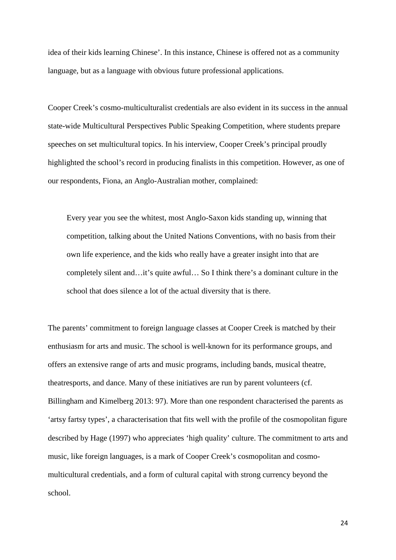idea of their kids learning Chinese'. In this instance, Chinese is offered not as a community language, but as a language with obvious future professional applications.

Cooper Creek's cosmo-multiculturalist credentials are also evident in its success in the annual state-wide Multicultural Perspectives Public Speaking Competition, where students prepare speeches on set multicultural topics. In his interview, Cooper Creek's principal proudly highlighted the school's record in producing finalists in this competition. However, as one of our respondents, Fiona, an Anglo-Australian mother, complained:

Every year you see the whitest, most Anglo-Saxon kids standing up, winning that competition, talking about the United Nations Conventions, with no basis from their own life experience, and the kids who really have a greater insight into that are completely silent and…it's quite awful… So I think there's a dominant culture in the school that does silence a lot of the actual diversity that is there.

The parents' commitment to foreign language classes at Cooper Creek is matched by their enthusiasm for arts and music. The school is well-known for its performance groups, and offers an extensive range of arts and music programs, including bands, musical theatre, theatresports, and dance. Many of these initiatives are run by parent volunteers (cf. Billingham and Kimelberg 2013: 97). More than one respondent characterised the parents as 'artsy fartsy types', a characterisation that fits well with the profile of the cosmopolitan figure described by Hage (1997) who appreciates 'high quality' culture. The commitment to arts and music, like foreign languages, is a mark of Cooper Creek's cosmopolitan and cosmomulticultural credentials, and a form of cultural capital with strong currency beyond the school.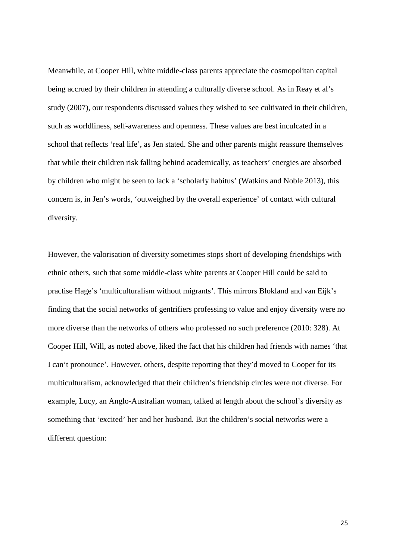Meanwhile, at Cooper Hill, white middle-class parents appreciate the cosmopolitan capital being accrued by their children in attending a culturally diverse school. As in Reay et al's study (2007), our respondents discussed values they wished to see cultivated in their children, such as worldliness, self-awareness and openness. These values are best inculcated in a school that reflects 'real life', as Jen stated. She and other parents might reassure themselves that while their children risk falling behind academically, as teachers' energies are absorbed by children who might be seen to lack a 'scholarly habitus' (Watkins and Noble 2013), this concern is, in Jen's words, 'outweighed by the overall experience' of contact with cultural diversity.

However, the valorisation of diversity sometimes stops short of developing friendships with ethnic others, such that some middle-class white parents at Cooper Hill could be said to practise Hage's 'multiculturalism without migrants'. This mirrors Blokland and van Eijk's finding that the social networks of gentrifiers professing to value and enjoy diversity were no more diverse than the networks of others who professed no such preference (2010: 328). At Cooper Hill, Will, as noted above, liked the fact that his children had friends with names 'that I can't pronounce'. However, others, despite reporting that they'd moved to Cooper for its multiculturalism, acknowledged that their children's friendship circles were not diverse. For example, Lucy, an Anglo-Australian woman, talked at length about the school's diversity as something that 'excited' her and her husband. But the children's social networks were a different question: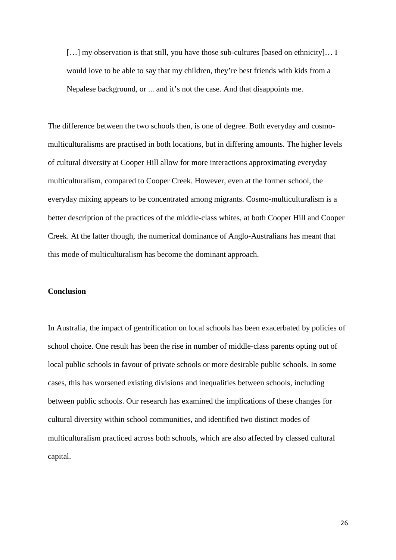[…] my observation is that still, you have those sub-cultures [based on ethnicity]… I would love to be able to say that my children, they're best friends with kids from a Nepalese background, or ... and it's not the case. And that disappoints me.

The difference between the two schools then, is one of degree. Both everyday and cosmomulticulturalisms are practised in both locations, but in differing amounts. The higher levels of cultural diversity at Cooper Hill allow for more interactions approximating everyday multiculturalism, compared to Cooper Creek. However, even at the former school, the everyday mixing appears to be concentrated among migrants. Cosmo-multiculturalism is a better description of the practices of the middle-class whites, at both Cooper Hill and Cooper Creek. At the latter though, the numerical dominance of Anglo-Australians has meant that this mode of multiculturalism has become the dominant approach.

# **Conclusion**

In Australia, the impact of gentrification on local schools has been exacerbated by policies of school choice. One result has been the rise in number of middle-class parents opting out of local public schools in favour of private schools or more desirable public schools. In some cases, this has worsened existing divisions and inequalities between schools, including between public schools. Our research has examined the implications of these changes for cultural diversity within school communities, and identified two distinct modes of multiculturalism practiced across both schools, which are also affected by classed cultural capital.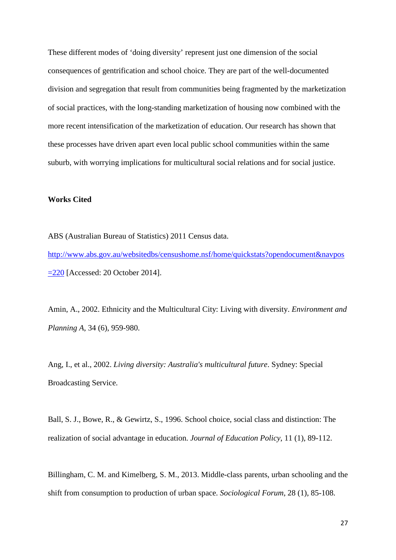These different modes of 'doing diversity' represent just one dimension of the social consequences of gentrification and school choice. They are part of the well-documented division and segregation that result from communities being fragmented by the marketization of social practices, with the long-standing marketization of housing now combined with the more recent intensification of the marketization of education. Our research has shown that these processes have driven apart even local public school communities within the same suburb, with worrying implications for multicultural social relations and for social justice.

### **Works Cited**

ABS (Australian Bureau of Statistics) 2011 Census data. [http://www.abs.gov.au/websitedbs/censushome.nsf/home/quickstats?opendocument&navpos](http://www.abs.gov.au/websitedbs/censushome.nsf/home/quickstats?opendocument&navpos=220) [=220](http://www.abs.gov.au/websitedbs/censushome.nsf/home/quickstats?opendocument&navpos=220) [Accessed: 20 October 2014].

Amin, A., 2002. Ethnicity and the Multicultural City: Living with diversity. *Environment and Planning A*, 34 (6), 959-980.

Ang, I., et al., 2002. *Living diversity: Australia's multicultural future*. Sydney: Special Broadcasting Service.

Ball, S. J., Bowe, R., & Gewirtz, S., 1996. School choice, social class and distinction: The realization of social advantage in education. *Journal of Education Policy*, 11 (1), 89-112.

Billingham, C. M. and Kimelberg, S. M., 2013. Middle-class parents, urban schooling and the shift from consumption to production of urban space. *Sociological Forum*, 28 (1), 85-108.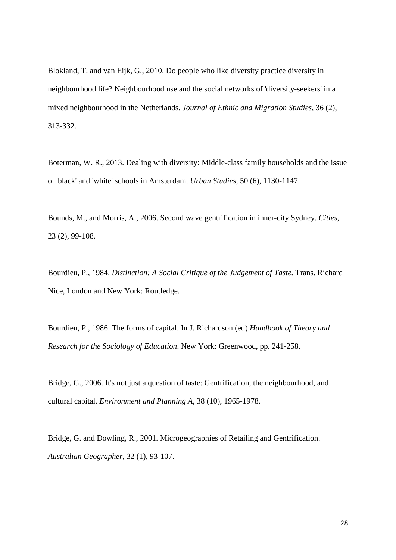Blokland, T. and van Eijk, G., 2010. Do people who like diversity practice diversity in neighbourhood life? Neighbourhood use and the social networks of 'diversity-seekers' in a mixed neighbourhood in the Netherlands. *Journal of Ethnic and Migration Studies,* 36 (2), 313-332.

Boterman, W. R., 2013. Dealing with diversity: Middle-class family households and the issue of 'black' and 'white' schools in Amsterdam. *Urban Studies,* 50 (6), 1130-1147.

Bounds, M., and Morris, A., 2006. Second wave gentrification in inner-city Sydney. *Cities*, 23 (2), 99-108.

Bourdieu, P., 1984. *Distinction: A Social Critique of the Judgement of Taste.* Trans. Richard Nice, London and New York: Routledge.

Bourdieu, P., 1986. The forms of capital. In J. Richardson (ed) *Handbook of Theory and Research for the Sociology of Education*. New York: Greenwood, pp. 241-258.

Bridge, G., 2006. It's not just a question of taste: Gentrification, the neighbourhood, and cultural capital. *Environment and Planning A*, 38 (10), 1965-1978.

Bridge, G. and Dowling, R., 2001. Microgeographies of Retailing and Gentrification. *Australian Geographer*, 32 (1), 93-107.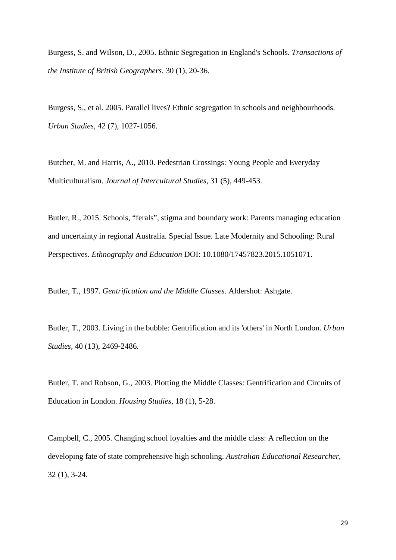Burgess, S. and Wilson, D., 2005. Ethnic Segregation in England's Schools. *Transactions of the Institute of British Geographers*, 30 (1), 20-36.

Burgess, S., et al. 2005. Parallel lives? Ethnic segregation in schools and neighbourhoods. *Urban Studies,* 42 (7), 1027-1056.

Butcher, M. and Harris, A., 2010. Pedestrian Crossings: Young People and Everyday Multiculturalism. *Journal of Intercultural Studies*, 31 (5), 449-453.

Butler, R., 2015. Schools, "ferals", stigma and boundary work: Parents managing education and uncertainty in regional Australia. Special Issue. Late Modernity and Schooling: Rural Perspectives. *Ethnography and Education* DOI: 10.1080/17457823.2015.1051071.

Butler, T., 1997. *Gentrification and the Middle Classes*. Aldershot: Ashgate.

Butler, T., 2003. Living in the bubble: Gentrification and its 'others' in North London. *Urban Studies,* 40 (13), 2469-2486.

Butler, T. and Robson, G., 2003. Plotting the Middle Classes: Gentrification and Circuits of Education in London. *Housing Studies*, 18 (1), 5-28.

Campbell, C., 2005. Changing school loyalties and the middle class: A reflection on the developing fate of state comprehensive high schooling. *Australian Educational Researcher*, 32 (1), 3-24.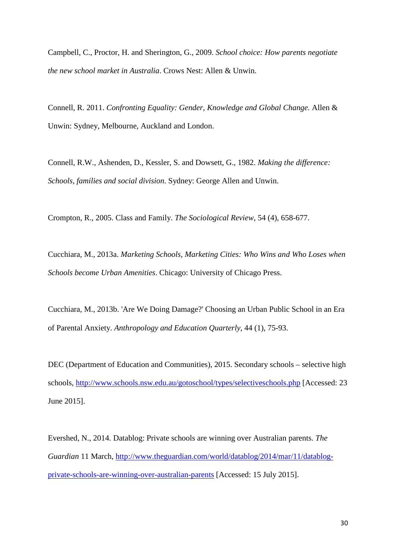Campbell, C., Proctor, H. and Sherington, G., 2009. *School choice: How parents negotiate the new school market in Australia*. Crows Nest: Allen & Unwin.

Connell, R. 2011. *Confronting Equality: Gender, Knowledge and Global Change.* Allen & Unwin: Sydney, Melbourne, Auckland and London.

Connell, R.W., Ashenden, D., Kessler, S. and Dowsett, G., 1982. *Making the difference: Schools, families and social division*. Sydney: George Allen and Unwin.

Crompton, R., 2005. Class and Family. *The Sociological Review*, 54 (4), 658-677.

Cucchiara, M., 2013a. *Marketing Schools, Marketing Cities: Who Wins and Who Loses when Schools become Urban Amenities*. Chicago: University of Chicago Press.

Cucchiara, M., 2013b. 'Are We Doing Damage?' Choosing an Urban Public School in an Era of Parental Anxiety. *Anthropology and Education Quarterly,* 44 (1), 75-93.

DEC (Department of Education and Communities), 2015. Secondary schools – selective high schools,<http://www.schools.nsw.edu.au/gotoschool/types/selectiveschools.php> [Accessed: 23 June 2015].

Evershed, N., 2014. Datablog: Private schools are winning over Australian parents. *The Guardian* 11 March, [http://www.theguardian.com/world/datablog/2014/mar/11/datablog](http://www.theguardian.com/world/datablog/2014/mar/11/datablog-private-schools-are-winning-over-australian-parents)[private-schools-are-winning-over-australian-parents](http://www.theguardian.com/world/datablog/2014/mar/11/datablog-private-schools-are-winning-over-australian-parents) [Accessed: 15 July 2015].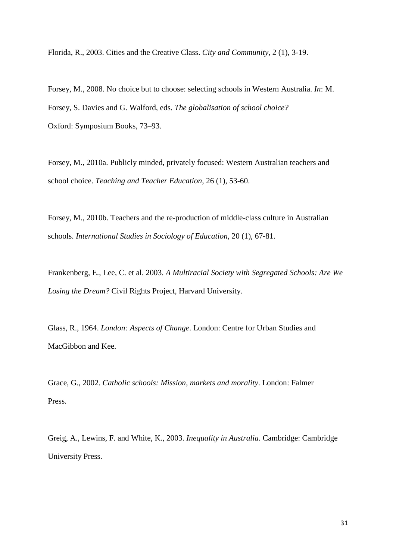Florida, R., 2003. Cities and the Creative Class. *City and Community*, 2 (1), 3-19.

Forsey, M., 2008. No choice but to choose: selecting schools in Western Australia. *In*: M. Forsey, S. Davies and G. Walford, eds. *The globalisation of school choice?* Oxford: Symposium Books, 73–93.

Forsey, M., 2010a. Publicly minded, privately focused: Western Australian teachers and school choice. *Teaching and Teacher Education*, 26 (1), 53-60.

Forsey, M., 2010b. Teachers and the re-production of middle-class culture in Australian schools. *International Studies in Sociology of Education*, 20 (1), 67-81.

Frankenberg, E., Lee, C. et al. 2003. *A Multiracial Society with Segregated Schools: Are We Losing the Dream?* Civil Rights Project, Harvard University.

Glass, R., 1964. *London: Aspects of Change*. London: Centre for Urban Studies and MacGibbon and Kee.

Grace, G., 2002. *Catholic schools: Mission, markets and morality*. London: Falmer Press.

Greig, A., Lewins, F. and White, K., 2003. *Inequality in Australia*. Cambridge: Cambridge University Press.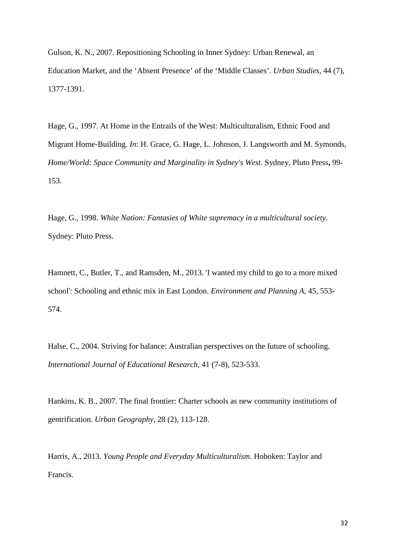Gulson, K. N., 2007. Repositioning Schooling in Inner Sydney: Urban Renewal, an Education Market, and the 'Absent Presence' of the 'Middle Classes'. *Urban Studies*, 44 (7), 1377-1391.

Hage, G., 1997. At Home in the Entrails of the West: Multiculturalism, Ethnic Food and Migrant Home-Building. *In*: H. Grace, G. Hage, L. Johnson, J. Langsworth and M. Symonds, *Home/World: Space Community and Marginality in Sydney's West*. Sydney, Pluto Press**,** 99- 153.

Hage, G., 1998. *White Nation: Fantasies of White supremacy in a multicultural society*. Sydney: Pluto Press.

Hamnett, C., Butler, T., and Ramsden, M., 2013. 'I wanted my child to go to a more mixed school': Schooling and ethnic mix in East London. *Environment and Planning A,* 45, 553- 574.

Halse, C., 2004. Striving for balance: Australian perspectives on the future of schooling. *International Journal of Educational Research*, 41 (7-8), 523-533.

Hankins, K. B., 2007. The final frontier: Charter schools as new community institutions of gentrification. *Urban Geography,* 28 (2), 113-128.

Harris, A., 2013. *Young People and Everyday Multiculturalism*. Hoboken: Taylor and Francis.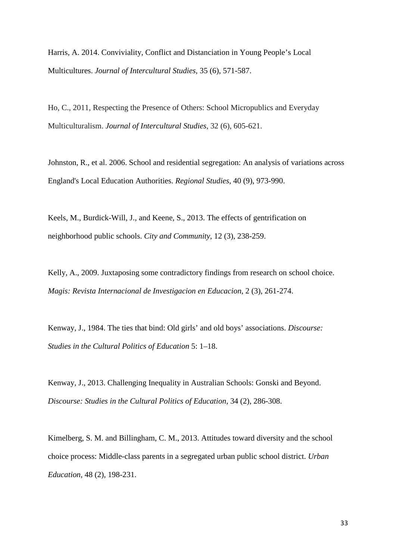Harris, A. 2014. Conviviality, Conflict and Distanciation in Young People's Local Multicultures. *Journal of Intercultural Studies*, 35 (6), 571-587.

Ho, C., 2011, Respecting the Presence of Others: School Micropublics and Everyday Multiculturalism. *Journal of Intercultural Studies*, 32 (6), 605-621.

Johnston, R., et al. 2006. School and residential segregation: An analysis of variations across England's Local Education Authorities. *Regional Studies,* 40 (9), 973-990.

Keels, M., Burdick-Will, J., and Keene, S., 2013. The effects of gentrification on neighborhood public schools. *City and Community,* 12 (3), 238-259.

Kelly, A., 2009. Juxtaposing some contradictory findings from research on school choice. *Magis: Revista Internacional de Investigacion en Educacion*, 2 (3), 261-274.

Kenway, J., 1984. The ties that bind: Old girls' and old boys' associations. *Discourse: Studies in the Cultural Politics of Education* 5: 1–18.

Kenway, J., 2013. Challenging Inequality in Australian Schools: Gonski and Beyond. *Discourse: Studies in the Cultural Politics of Education*, 34 (2), 286-308.

Kimelberg, S. M. and Billingham, C. M., 2013. Attitudes toward diversity and the school choice process: Middle-class parents in a segregated urban public school district. *Urban Education,* 48 (2), 198-231.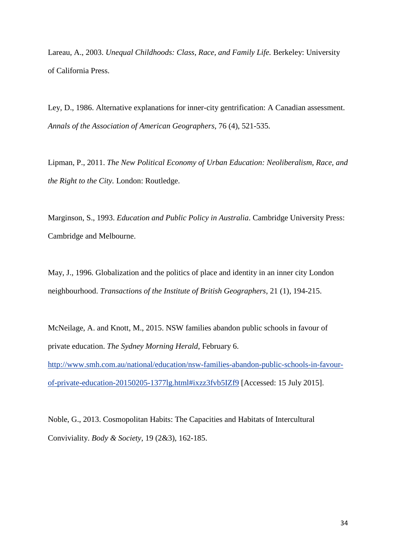Lareau, A., 2003. *Unequal Childhoods: Class, Race, and Family Life.* Berkeley: University of California Press.

Ley, D., 1986. Alternative explanations for inner-city gentrification: A Canadian assessment. *Annals of the Association of American Geographers*, 76 (4), 521-535.

Lipman, P., 2011. *The New Political Economy of Urban Education: Neoliberalism, Race, and the Right to the City.* London: Routledge.

Marginson, S., 1993. *Education and Public Policy in Australia*. Cambridge University Press: Cambridge and Melbourne.

May, J., 1996. Globalization and the politics of place and identity in an inner city London neighbourhood. *Transactions of the Institute of British Geographers*, 21 (1), 194-215.

McNeilage, A. and Knott, M., 2015. NSW families abandon public schools in favour of private education. *The Sydney Morning Herald*, February 6. [http://www.smh.com.au/national/education/nsw-families-abandon-public-schools-in-favour-](http://www.smh.com.au/national/education/nsw-families-abandon-public-schools-in-favour-of-private-education-20150205-1377lg.html#ixzz3fvb5IZf9)

[of-private-education-20150205-1377lg.html#ixzz3fvb5IZf9](http://www.smh.com.au/national/education/nsw-families-abandon-public-schools-in-favour-of-private-education-20150205-1377lg.html#ixzz3fvb5IZf9) [Accessed: 15 July 2015].

Noble, G., 2013. Cosmopolitan Habits: The Capacities and Habitats of Intercultural Conviviality. *Body & Society*, 19 (2&3), 162-185.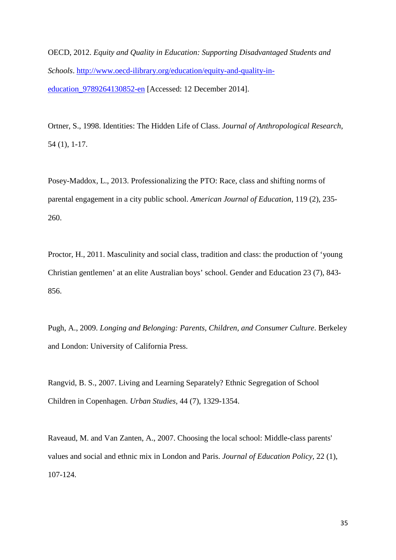OECD, 2012. *Equity and Quality in Education: Supporting Disadvantaged Students and Schools*. [http://www.oecd-ilibrary.org/education/equity-and-quality-in](http://www.oecd-ilibrary.org/education/equity-and-quality-in-education_9789264130852-en)[education\\_9789264130852-en](http://www.oecd-ilibrary.org/education/equity-and-quality-in-education_9789264130852-en) [Accessed: 12 December 2014].

Ortner, S., 1998. Identities: The Hidden Life of Class. *Journal of Anthropological Research*, 54 (1), 1-17.

Posey-Maddox, L., 2013. Professionalizing the PTO: Race, class and shifting norms of parental engagement in a city public school. *American Journal of Education*, 119 (2), 235- 260.

Proctor, H., 2011. Masculinity and social class, tradition and class: the production of 'young Christian gentlemen' at an elite Australian boys' school. Gender and Education 23 (7), 843- 856.

Pugh, A., 2009. *Longing and Belonging: Parents, Children, and Consumer Culture*. Berkeley and London: University of California Press.

Rangvid, B. S., 2007. Living and Learning Separately? Ethnic Segregation of School Children in Copenhagen. *Urban Studies,* 44 (7), 1329-1354.

Raveaud, M. and Van Zanten, A., 2007. Choosing the local school: Middle-class parents' values and social and ethnic mix in London and Paris. *Journal of Education Policy,* 22 (1), 107-124.